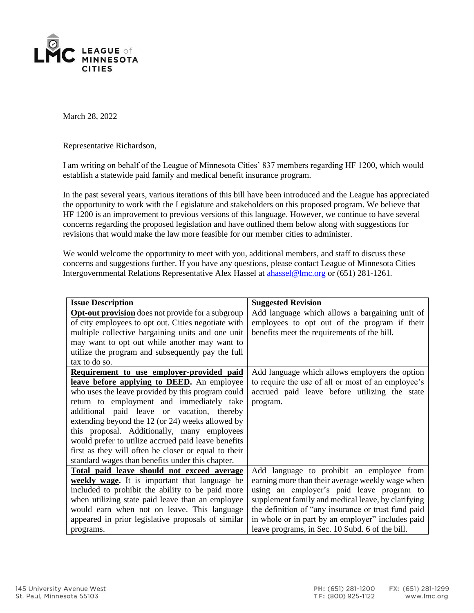

March 28, 2022

Representative Richardson,

I am writing on behalf of the League of Minnesota Cities' 837 members regarding HF 1200, which would establish a statewide paid family and medical benefit insurance program.

In the past several years, various iterations of this bill have been introduced and the League has appreciated the opportunity to work with the Legislature and stakeholders on this proposed program. We believe that HF 1200 is an improvement to previous versions of this language. However, we continue to have several concerns regarding the proposed legislation and have outlined them below along with suggestions for revisions that would make the law more feasible for our member cities to administer.

We would welcome the opportunity to meet with you, additional members, and staff to discuss these concerns and suggestions further. If you have any questions, please contact League of Minnesota Cities Intergovernmental Relations Representative Alex Hassel at [ahassel@lmc.org](mailto:ahassel@lmc.org) or (651) 281-1261.

| <b>Issue Description</b>                                 | <b>Suggested Revision</b>                           |
|----------------------------------------------------------|-----------------------------------------------------|
| <b>Opt-out provision</b> does not provide for a subgroup | Add language which allows a bargaining unit of      |
| of city employees to opt out. Cities negotiate with      | employees to opt out of the program if their        |
| multiple collective bargaining units and one unit        | benefits meet the requirements of the bill.         |
| may want to opt out while another may want to            |                                                     |
| utilize the program and subsequently pay the full        |                                                     |
| tax to do so.                                            |                                                     |
| Requirement to use employer-provided paid                | Add language which allows employers the option      |
| leave before applying to DEED. An employee               | to require the use of all or most of an employee's  |
| who uses the leave provided by this program could        | accrued paid leave before utilizing the state       |
| return to employment and immediately take                | program.                                            |
| additional paid leave or vacation, thereby               |                                                     |
| extending beyond the 12 (or 24) weeks allowed by         |                                                     |
| this proposal. Additionally, many employees              |                                                     |
| would prefer to utilize accrued paid leave benefits      |                                                     |
| first as they will often be closer or equal to their     |                                                     |
| standard wages than benefits under this chapter.         |                                                     |
| Total paid leave should not exceed average               | Add language to prohibit an employee from           |
| <b>weekly wage.</b> It is important that language be     | earning more than their average weekly wage when    |
| included to prohibit the ability to be paid more         | using an employer's paid leave program to           |
| when utilizing state paid leave than an employee         | supplement family and medical leave, by clarifying  |
| would earn when not on leave. This language              | the definition of "any insurance or trust fund paid |
| appeared in prior legislative proposals of similar       | in whole or in part by an employer" includes paid   |
| programs.                                                | leave programs, in Sec. 10 Subd. 6 of the bill.     |